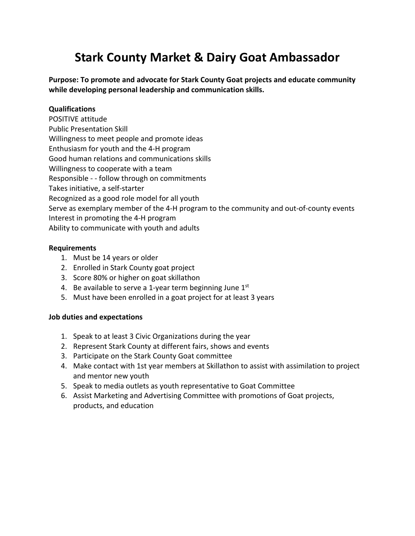# **Stark County Market & Dairy Goat Ambassador**

**Purpose: To promote and advocate for Stark County Goat projects and educate community while developing personal leadership and communication skills.** 

### **Qualifications**

POSITIVE attitude Public Presentation Skill Willingness to meet people and promote ideas Enthusiasm for youth and the 4-H program Good human relations and communications skills Willingness to cooperate with a team Responsible - - follow through on commitments Takes initiative, a self-starter Recognized as a good role model for all youth Serve as exemplary member of the 4-H program to the community and out-of-county events Interest in promoting the 4-H program Ability to communicate with youth and adults

### **Requirements**

- 1. Must be 14 years or older
- 2. Enrolled in Stark County goat project
- 3. Score 80% or higher on goat skillathon
- 4. Be available to serve a 1-year term beginning June  $1<sup>st</sup>$
- 5. Must have been enrolled in a goat project for at least 3 years

### **Job duties and expectations**

- 1. Speak to at least 3 Civic Organizations during the year
- 2. Represent Stark County at different fairs, shows and events
- 3. Participate on the Stark County Goat committee
- 4. Make contact with 1st year members at Skillathon to assist with assimilation to project and mentor new youth
- 5. Speak to media outlets as youth representative to Goat Committee
- 6. Assist Marketing and Advertising Committee with promotions of Goat projects, products, and education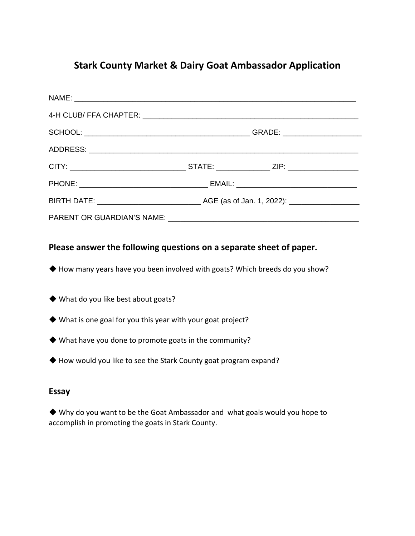## **Stark County Market & Dairy Goat Ambassador Application**

### **Please answer the following questions on a separate sheet of paper.**

- ◆ How many years have you been involved with goats? Which breeds do you show?
- ◆ What do you like best about goats?
- ◆ What is one goal for you this year with your goat project?
- ◆ What have you done to promote goats in the community?
- ◆ How would you like to see the Stark County goat program expand?

### **Essay**

◆ Why do you want to be the Goat Ambassador and what goals would you hope to accomplish in promoting the goats in Stark County.